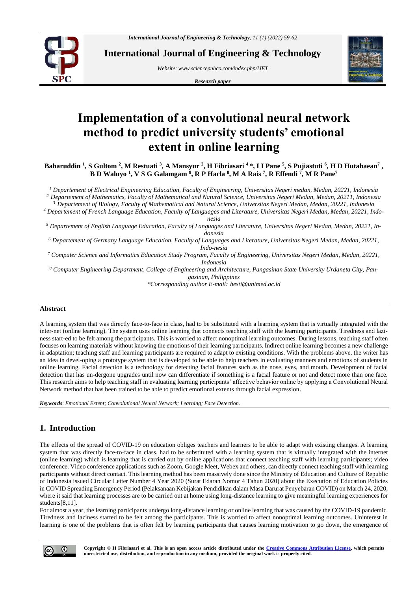

**International Journal of Engineering & Technology**

*Website: www.sciencepubco.com/index.php/IJET* 

*Research paper*



# **Implementation of a convolutional neural network method to predict university students' emotional extent in online learning**

Baharuddin <sup>1</sup>, S Gultom <sup>2</sup>, M Restuati <sup>3</sup>, A Mansyur <sup>2</sup>, H Fibriasari <sup>4</sup> \*, I I Pane <sup>5</sup>, S Pujiastuti <sup>6</sup>, H D Hutahaean<sup>7</sup> , **B D Waluyo <sup>1</sup> , V S G Galamgam <sup>8</sup> , R P Hacla <sup>8</sup> , M A Rais <sup>7</sup> , R Effendi <sup>7</sup> , M R Pane<sup>7</sup>**

*<sup>1</sup> Departement of Electrical Engineering Education, Faculty of Engineering, Universitas Negeri medan, Medan, 20221, Indonesia <sup>2</sup> Departement of Mathematics, Faculty of Mathematical and Natural Science, Universitas Negeri Medan, Medan, 20211, Indonesia*

*<sup>3</sup> Departement of Biology, Faculty of Mathematical and Natural Science, Universitas Negeri Medan, Medan, 20221, Indonesia*

*<sup>4</sup> Departement of French Language Education, Faculty of Languages and Literature, Universitas Negeri Medan, Medan, 20221, Indonesia*

*<sup>5</sup> Departement of English Language Education, Faculty of Languages and Literature, Universitas Negeri Medan, Medan, 20221, Indonesia*

*<sup>6</sup> Departement of Germany Language Education, Faculty of Languages and Literature, Universitas Negeri Medan, Medan, 20221, Indo-nesia*

*<sup>7</sup> Computer Science and Informatics Education Study Program, Faculty of Engineering, Universitas Negeri Medan, Medan, 20221, Indonesia*

*<sup>8</sup> Computer Engineering Department, College of Engineering and Architecture, Pangasinan State University Urdaneta City, Pangasinan, Philippines*

*\*Corresponding author E-mail: hesti@unimed.ac.id*

#### **Abstract**

A learning system that was directly face-to-face in class, had to be substituted with a learning system that is virtually integrated with the inter-net (online learning). The system uses online learning that connects teaching staff with the learning participants. Tiredness and laziness start-ed to be felt among the participants. This is worried to affect nonoptimal learning outcomes. During lessons, teaching staff often focuses on learning materials without knowing the emotions of their learning participants. Indirect online learning becomes a new challenge in adaptation; teaching staff and learning participants are required to adapt to existing conditions. With the problems above, the writer has an idea in devel-oping a prototype system that is developed to be able to help teachers in evaluating manners and emotions of students in online learning. Facial detection is a technology for detecting facial features such as the nose, eyes, and mouth. Development of facial detection that has un-dergone upgrades until now can differentiate if something is a facial feature or not and detect more than one face. This research aims to help teaching staff in evaluating learning participants' affective behavior online by applying a Convolutional Neural Network method that has been trained to be able to predict emotional extents through facial expression.

*Keywords*: *Emotional Extent; Convolutional Neural Network; Learning; Face Detection.*

## **1. Introduction**

The effects of the spread of COVID-19 on education obliges teachers and learners to be able to adapt with existing changes. A learning system that was directly face-to-face in class, had to be substituted with a learning system that is virtually integrated with the internet (online learning) which is learning that is carried out by online applications that connect teaching staff with learning participants; video conference. Video conference applications such as Zoom, Google Meet, Webex and others, can directly connect teaching staff with learning participants without direct contact. This learning method has been massively done since the Ministry of Education and Culture of Republic of Indonesia issued Circular Letter Number 4 Year 2020 (Surat Edaran Nomor 4 Tahun 2020) about the Execution of Education Policies in COVID Spreading Emergency Period (Pelaksanaan Kebijakan Pendidikan dalam Masa Darurat Penyebaran COVID) on March 24, 2020, where it said that learning processes are to be carried out at home using long-distance learning to give meaningful learning experiences for students[8,11].

For almost a year, the learning participants undergo long-distance learning or online learning that was caused by the COVID-19 pandemic. Tiredness and laziness started to be felt among the participants. This is worried to affect nonoptimal learning outcomes. Uninterest in learning is one of the problems that is often felt by learning participants that causes learning motivation to go down, the emergence of

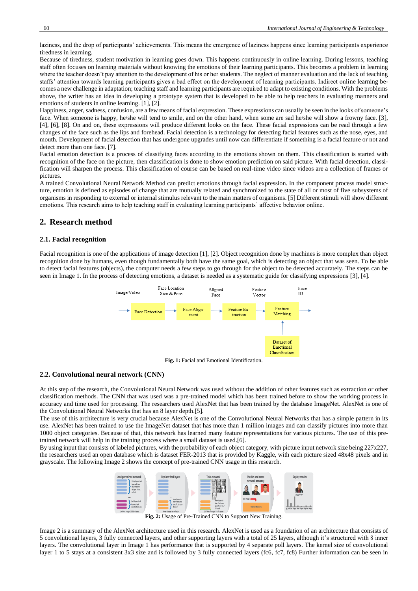laziness, and the drop of participants' achievements. This means the emergence of laziness happens since learning participants experience tiredness in learning.

Because of tiredness, student motivation in learning goes down. This happens continuously in online learning. During lessons, teaching staff often focuses on learning materials without knowing the emotions of their learning participants. This becomes a problem in learning where the teacher doesn't pay attention to the development of his or her students. The neglect of manner evaluation and the lack of teaching staffs' attention towards learning participants gives a bad effect on the development of learning participants. Indirect online learning becomes a new challenge in adaptation; teaching staff and learning participants are required to adapt to existing conditions. With the problems above, the writer has an idea in developing a prototype system that is developed to be able to help teachers in evaluating manners and emotions of students in online learning. [1], [2].

Happiness, anger, sadness, confusion, are a few means of facial expression. These expressions can usually be seen in the looks of someone's face. When someone is happy, he/she will tend to smile, and on the other hand, when some are sad he/she will show a frowny face. [3], [4], [6], [8]. On and on, these expressions will produce different looks on the face. These facial expressions can be read through a few changes of the face such as the lips and forehead. Facial detection is a technology for detecting facial features such as the nose, eyes, and mouth. Development of facial detection that has undergone upgrades until now can differentiate if something is a facial feature or not and detect more than one face. [7].

Facial emotion detection is a process of classifying faces according to the emotions shown on them. This classification is started with recognition of the face on the picture, then classification is done to show emotion prediction on said picture. With facial detection, classification will sharpen the process. This classification of course can be based on real-time video since videos are a collection of frames or pictures.

A trained Convolutional Neural Network Method can predict emotions through facial expression. In the component process model structure, emotion is defined as episodes of change that are mutually related and synchronized to the state of all or most of five subsystems of organisms in responding to external or internal stimulus relevant to the main matters of organisms. [5] Different stimuli will show different emotions. This research aims to help teaching staff in evaluating learning participants' affective behavior online.

# **2. Research method**

#### **2.1. Facial recognition**

Facial recognition is one of the applications of image detection [1], [2]. Object recognition done by machines is more complex than object recognition done by humans, even though fundamentally both have the same goal, which is detecting an object that was seen. To be able to detect facial features (objects), the computer needs a few steps to go through for the object to be detected accurately. The steps can be seen in Image 1. In the process of detecting emotions, a dataset is needed as a systematic guide for classifying expressions [3], [4].



**Fig. 1:** Facial and Emotional Identification.

#### **2.2. Convolutional neural network (CNN)**

At this step of the research, the Convolutional Neural Network was used without the addition of other features such as extraction or other classification methods. The CNN that was used was a pre-trained model which has been trained before to show the working process in accuracy and time used for processing. The researchers used AlexNet that has been trained by the database ImageNet. AlexNet is one of the Convolutional Neural Networks that has an 8 layer depth.[5].

The use of this architecture is very crucial because AlexNet is one of the Convolutional Neural Networks that has a simple pattern in its use. AlexNet has been trained to use the ImageNet dataset that has more than 1 million images and can classify pictures into more than 1000 object categories. Because of that, this network has learned many feature representations for various pictures. The use of this pretrained network will help in the training process where a small dataset is used.[6].

By using input that consists of labeled pictures, with the probability of each object category, with picture input network size being 227x227, the researchers used an open database which is dataset FER-2013 that is provided by Kaggle, with each picture sized 48x48 pixels and in grayscale. The following Image 2 shows the concept of pre-trained CNN usage in this research.



**Fig. 2:** Usage of Pre-Trained CNN to Support New Training.

Image 2 is a summary of the AlexNet architecture used in this research. AlexNet is used as a foundation of an architecture that consists of 5 convolutional layers, 3 fully connected layers, and other supporting layers with a total of 25 layers, although it's structured with 8 inner layers. The convolutional layer in Image 1 has performance that is supported by 4 separate poll layers. The kernel size of convolutional layer 1 to 5 stays at a consistent 3x3 size and is followed by 3 fully connected layers (fc6, fc7, fc8) Further information can be seen in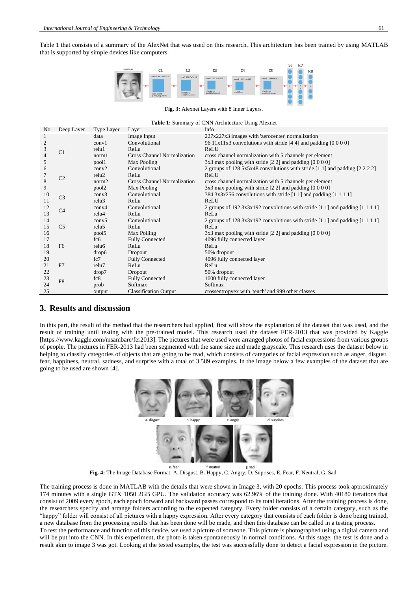Table 1 that consists of a summary of the AlexNet that was used on this research. This architecture has been trained by using MATLAB that is supported by simple devices like computers.



**Fig. 3:** Alexnet Layers with 8 Inner Layers.

**Table 1:** Summary of CNN Architecture Using Alexnet

| No             | Deep Layer     | <b>Type Layer</b> | Layer                              | Info                                                                                                                                            |
|----------------|----------------|-------------------|------------------------------------|-------------------------------------------------------------------------------------------------------------------------------------------------|
|                | C1             | data              | Image Input                        | 227x227x3 images with 'zerocenter' normalization                                                                                                |
| $\overline{2}$ |                | conv1             | Convolutional                      | 96 11x11x3 convolutions with stride [4.4] and padding [0.000]                                                                                   |
| 3              |                | relu1             | ReLu                               | ReLU                                                                                                                                            |
| 4              |                | norm1             | Cross Channel Normalization        | cross channel normalization with 5 channels per element                                                                                         |
| 5              |                | pool1             | Max Pooling                        | $3x3$ max pooling with stride [2 2] and padding [0 0 0 0]                                                                                       |
| 6              |                | conv2             | Convolutional                      | 2 groups of 128 5x5x48 convolutions with stride $\begin{bmatrix} 1 & 1 \end{bmatrix}$ and padding $\begin{bmatrix} 2 & 2 & 2 & 2 \end{bmatrix}$ |
|                | C <sub>2</sub> | relu2             | ReLu                               | ReLU                                                                                                                                            |
| 8              |                | norm <sub>2</sub> | <b>Cross Channel Normalization</b> | cross channel normalization with 5 channels per element                                                                                         |
| 9              |                | pool <sub>2</sub> | Max Pooling                        | $3x3$ max pooling with stride [2.2] and padding [0.000]                                                                                         |
| 10             | C <sub>3</sub> | conv3             | Convolutional                      | $384 \frac{3x}{3x} \cdot 256$ convolutions with stride [1 1] and padding [1 1 1 1]                                                              |
| 11             |                | relu <sub>3</sub> | ReLu                               | ReLU                                                                                                                                            |
| 12             | C <sub>4</sub> | conv <sub>4</sub> | Convolutional                      | 2 groups of 192 3x3x192 convolutions with stride [1 1] and padding [1 1 1 1]                                                                    |
| 13             |                | relu4             | ReLu                               | ReLu                                                                                                                                            |
| 14             |                | conv <sub>5</sub> | Convolutional                      | 2 groups of 128 3x3x192 convolutions with stride $[1\ 1]$ and padding $[1\ 1\ 1\ 1]$                                                            |
| 15             | C <sub>5</sub> | relu <sub>5</sub> | ReLu                               | ReLu                                                                                                                                            |
| 16             |                | pool5             | Max Polling                        | $3x3$ max pooling with stride [2 2] and padding [0 0 0 0]                                                                                       |
| 17             |                | fc <sub>6</sub>   | <b>Fully Connected</b>             | 4096 fully connected layer                                                                                                                      |
| 18             | F <sub>6</sub> | relu <sub>6</sub> | ReLu                               | ReLu                                                                                                                                            |
| 19             |                | drop6             | Dropout                            | 50% dropout                                                                                                                                     |
| 20             |                | fc7               | <b>Fully Connected</b>             | 4096 fully connected layer                                                                                                                      |
| 21             | F <sub>7</sub> | relu7             | ReLu                               | ReLu                                                                                                                                            |
| 22             |                | drop7             | Dropout                            | 50% dropout                                                                                                                                     |
| 23             | F <sub>8</sub> | fc8               | <b>Fully Connected</b>             | 1000 fully connected layer                                                                                                                      |
| 24             |                | prob              | Softmax                            | Softmax                                                                                                                                         |
| 25             |                | output            | <b>Classification Output</b>       | crossentropyex with 'tench' and 999 other classes                                                                                               |

## **3. Results and discussion**

In this part, the result of the method that the researchers had applied, first will show the explanation of the dataset that was used, and the result of training until testing with the pre-trained model. This research used the dataset FER-2013 that was provided by Kaggle [https://www.kaggle.com/msambare/fer2013]. The pictures that were used were arranged photos of facial expressions from various groups of people. The pictures in FER-2013 had been segmented with the same size and made grayscale. This research uses the dataset below in helping to classify categories of objects that are going to be read, which consists of categories of facial expression such as anger, disgust, fear, happiness, neutral, sadness, and surprise with a total of 3.589 examples. In the image below a few examples of the dataset that are going to be used are shown [4].



**Fig. 4:** The Image Database Format: A. Disgust, B. Happy, C. Angry, D. Suprises, E. Fear, F. Neutral, G. Sad.

The training process is done in MATLAB with the details that were shown in Image 3, with 20 epochs. This process took approximately 174 minutes with a single GTX 1050 2GB GPU. The validation accuracy was 62.96% of the training done. With 40180 iterations that consist of 2009 every epoch, each epoch forward and backward passes correspond to its total iterations. After the training process is done, the researchers specify and arrange folders according to the expected category. Every folder consists of a certain category, such as the "happy" folder will consist of all pictures with a happy expression. After every category that consists of each folder is done being trained, a new database from the processing results that has been done will be made, and then this database can be called in a testing process. To test the performance and function of this device, we used a picture of someone. This picture is photographed using a digital camera and

will be put into the CNN. In this experiment, the photo is taken spontaneously in normal conditions. At this stage, the test is done and a result akin to image 3 was got. Looking at the tested examples, the test was successfully done to detect a facial expression in the picture.